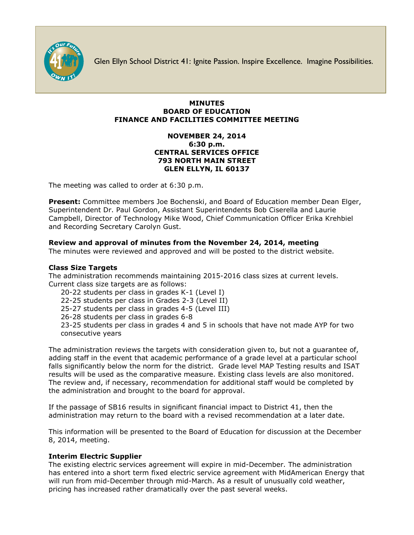

Glen Ellyn School District 41: Ignite Passion. Inspire Excellence. Imagine Possibilities.

### **MINUTES BOARD OF EDUCATION FINANCE AND FACILITIES COMMITTEE MEETING**

### **NOVEMBER 24, 2014 6:30 p.m. CENTRAL SERVICES OFFICE 793 NORTH MAIN STREET GLEN ELLYN, IL 60137**

The meeting was called to order at 6:30 p.m.

**Present:** Committee members Joe Bochenski, and Board of Education member Dean Elger, Superintendent Dr. Paul Gordon, Assistant Superintendents Bob Ciserella and Laurie Campbell, Director of Technology Mike Wood, Chief Communication Officer [Erika Krehbiel](http://www.d41.org/contact_email.asp?id=ekrehbiel&n=Erika_Krehbiel) and Recording Secretary Carolyn Gust.

# **Review and approval of minutes from the November 24, 2014, meeting**

The minutes were reviewed and approved and will be posted to the district website.

### **Class Size Targets**

The administration recommends maintaining 2015-2016 class sizes at current levels. Current class size targets are as follows:

20-22 students per class in grades K-1 (Level I)

22-25 students per class in Grades 2-3 (Level II)

25-27 students per class in grades 4-5 (Level III)

26-28 students per class in grades 6-8

23-25 students per class in grades 4 and 5 in schools that have not made AYP for two consecutive years

The administration reviews the targets with consideration given to, but not a guarantee of, adding staff in the event that academic performance of a grade level at a particular school falls significantly below the norm for the district. Grade level MAP Testing results and ISAT results will be used as the comparative measure. Existing class levels are also monitored. The review and, if necessary, recommendation for additional staff would be completed by the administration and brought to the board for approval.

If the passage of SB16 results in significant financial impact to District 41, then the administration may return to the board with a revised recommendation at a later date.

This information will be presented to the Board of Education for discussion at the December 8, 2014, meeting.

# **Interim Electric Supplier**

The existing electric services agreement will expire in mid-December. The administration has entered into a short term fixed electric service agreement with MidAmerican Energy that will run from mid-December through mid-March. As a result of unusually cold weather, pricing has increased rather dramatically over the past several weeks.